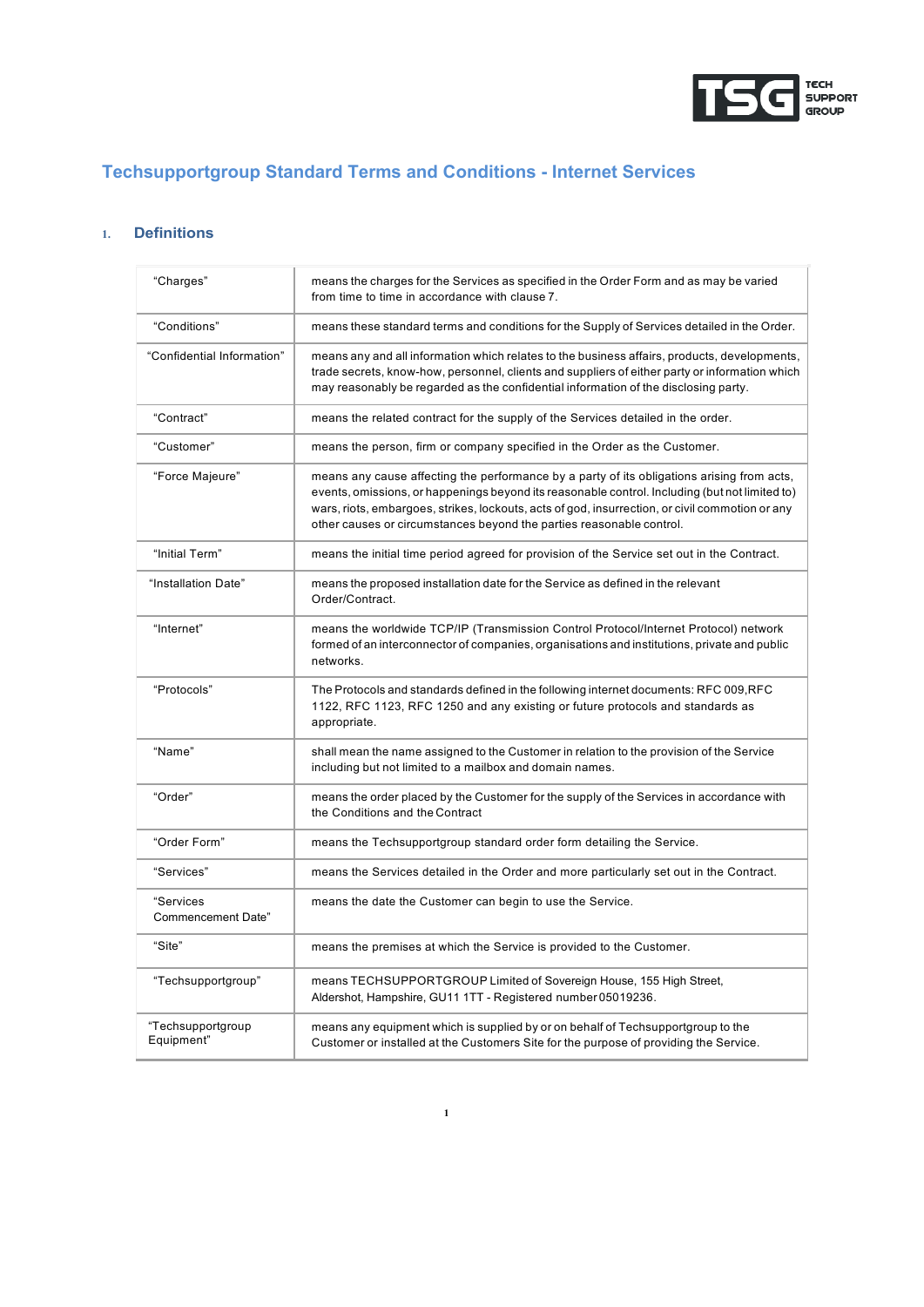

# **Techsupportgroup Standard Terms and Conditions - Internet Services**

# **1. Definitions**

| "Charges"                              | means the charges for the Services as specified in the Order Form and as may be varied<br>from time to time in accordance with clause 7.                                                                                                                                                                                                                                |
|----------------------------------------|-------------------------------------------------------------------------------------------------------------------------------------------------------------------------------------------------------------------------------------------------------------------------------------------------------------------------------------------------------------------------|
| "Conditions"                           | means these standard terms and conditions for the Supply of Services detailed in the Order.                                                                                                                                                                                                                                                                             |
| "Confidential Information"             | means any and all information which relates to the business affairs, products, developments,<br>trade secrets, know-how, personnel, clients and suppliers of either party or information which<br>may reasonably be regarded as the confidential information of the disclosing party.                                                                                   |
| "Contract"                             | means the related contract for the supply of the Services detailed in the order.                                                                                                                                                                                                                                                                                        |
| "Customer"                             | means the person, firm or company specified in the Order as the Customer.                                                                                                                                                                                                                                                                                               |
| "Force Majeure"                        | means any cause affecting the performance by a party of its obligations arising from acts,<br>events, omissions, or happenings beyond its reasonable control. Including (but not limited to)<br>wars, riots, embargoes, strikes, lockouts, acts of god, insurrection, or civil commotion or any<br>other causes or circumstances beyond the parties reasonable control. |
| "Initial Term"                         | means the initial time period agreed for provision of the Service set out in the Contract.                                                                                                                                                                                                                                                                              |
| "Installation Date"                    | means the proposed installation date for the Service as defined in the relevant<br>Order/Contract.                                                                                                                                                                                                                                                                      |
| "Internet"                             | means the worldwide TCP/IP (Transmission Control Protocol/Internet Protocol) network<br>formed of an interconnector of companies, organisations and institutions, private and public<br>networks.                                                                                                                                                                       |
| "Protocols"                            | The Protocols and standards defined in the following internet documents: RFC 009, RFC<br>1122, RFC 1123, RFC 1250 and any existing or future protocols and standards as<br>appropriate.                                                                                                                                                                                 |
| "Name"                                 | shall mean the name assigned to the Customer in relation to the provision of the Service<br>including but not limited to a mailbox and domain names.                                                                                                                                                                                                                    |
| "Order"                                | means the order placed by the Customer for the supply of the Services in accordance with<br>the Conditions and the Contract                                                                                                                                                                                                                                             |
| "Order Form"                           | means the Techsupportgroup standard order form detailing the Service.                                                                                                                                                                                                                                                                                                   |
| "Services"                             | means the Services detailed in the Order and more particularly set out in the Contract.                                                                                                                                                                                                                                                                                 |
| "Services<br><b>Commencement Date"</b> | means the date the Customer can begin to use the Service.                                                                                                                                                                                                                                                                                                               |
| "Site"                                 | means the premises at which the Service is provided to the Customer.                                                                                                                                                                                                                                                                                                    |
| "Techsupportgroup"                     | means TECHSUPPORTGROUP Limited of Sovereign House, 155 High Street,<br>Aldershot, Hampshire, GU11 1TT - Registered number 05019236.                                                                                                                                                                                                                                     |
| "Techsupportgroup<br>Equipment"        | means any equipment which is supplied by or on behalf of Techsupportgroup to the<br>Customer or installed at the Customers Site for the purpose of providing the Service.                                                                                                                                                                                               |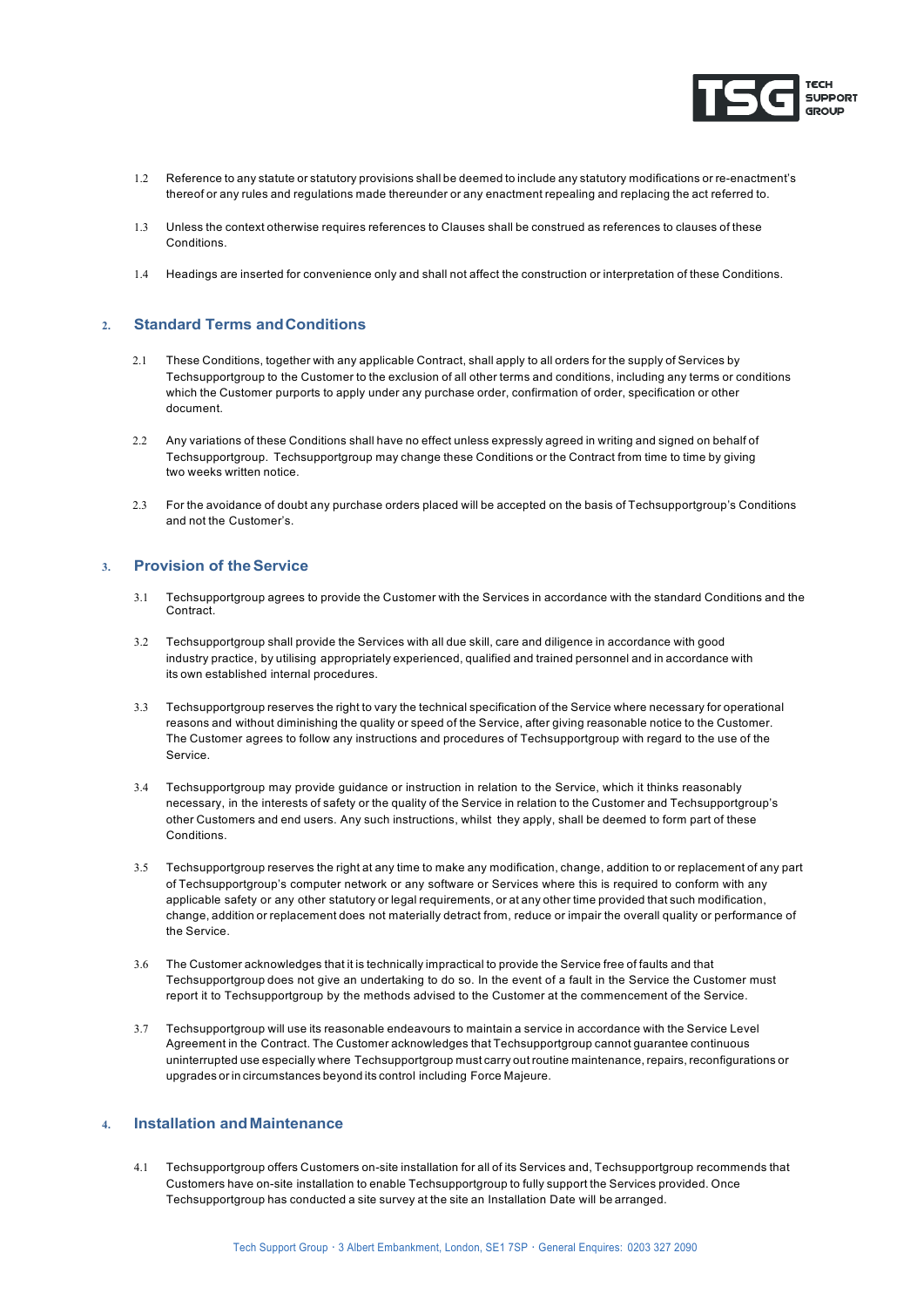

- 1.2 Reference to any statute or statutory provisions shall be deemed to include any statutory modifications or re-enactment's thereof or any rules and regulations made thereunder or any enactment repealing and replacing the act referred to.
- 1.3 Unless the context otherwise requires references to Clauses shall be construed as references to clauses of these Conditions.
- 1.4 Headings are inserted for convenience only and shall not affect the construction or interpretation of these Conditions.

# **2. Standard Terms andConditions**

- 2.1 These Conditions, together with any applicable Contract, shall apply to all orders for the supply of Services by Techsupportgroup to the Customer to the exclusion of all other terms and conditions, including any terms or conditions which the Customer purports to apply under any purchase order, confirmation of order, specification or other document.
- 2.2 Any variations of these Conditions shall have no effect unless expressly agreed in writing and signed on behalf of Techsupportgroup. Techsupportgroup may change these Conditions or the Contract from time to time by giving two weeks written notice.
- 2.3 For the avoidance of doubt any purchase orders placed will be accepted on the basis of Techsupportgroup's Conditions and not the Customer's.

#### **3. Provision of theService**

- 3.1 Techsupportgroup agrees to provide the Customer with the Services in accordance with the standard Conditions and the Contract.
- 3.2 Techsupportgroup shall provide the Services with all due skill, care and diligence in accordance with good industry practice, by utilising appropriately experienced, qualified and trained personnel and in accordance with its own established internal procedures.
- 3.3 Techsupportgroup reserves the right to vary the technical specification of the Service where necessary for operational reasons and without diminishing the quality or speed of the Service, after giving reasonable notice to the Customer. The Customer agrees to follow any instructions and procedures of Techsupportgroup with regard to the use of the Service.
- 3.4 Techsupportgroup may provide guidance or instruction in relation to the Service, which it thinks reasonably necessary, in the interests of safety or the quality of the Service in relation to the Customer and Techsupportgroup's other Customers and end users. Any such instructions, whilst they apply, shall be deemed to form part of these Conditions.
- 3.5 Techsupportgroup reserves the right at any time to make any modification, change, addition to or replacement of any part of Techsupportgroup's computer network or any software or Services where this is required to conform with any applicable safety or any other statutory or legal requirements, or at any other time provided that such modification, change, addition or replacement does not materially detract from, reduce or impair the overall quality or performance of the Service.
- 3.6 The Customer acknowledges that it is technically impractical to provide the Service free of faults and that Techsupportgroup does not give an undertaking to do so. In the event of a fault in the Service the Customer must report it to Techsupportgroup by the methods advised to the Customer at the commencement of the Service.
- 3.7 Techsupportgroup will use its reasonable endeavours to maintain a service in accordance with the Service Level Agreement in the Contract. The Customer acknowledges that Techsupportgroup cannot guarantee continuous uninterrupted use especially where Techsupportgroup must carry out routine maintenance, repairs, reconfigurations or upgrades or in circumstances beyond its control including Force Majeure.

# **4. Installation andMaintenance**

4.1 Techsupportgroup offers Customers on-site installation for all of its Services and, Techsupportgroup recommends that Customers have on-site installation to enable Techsupportgroup to fully support the Services provided. Once Techsupportgroup has conducted a site survey at the site an Installation Date will be arranged.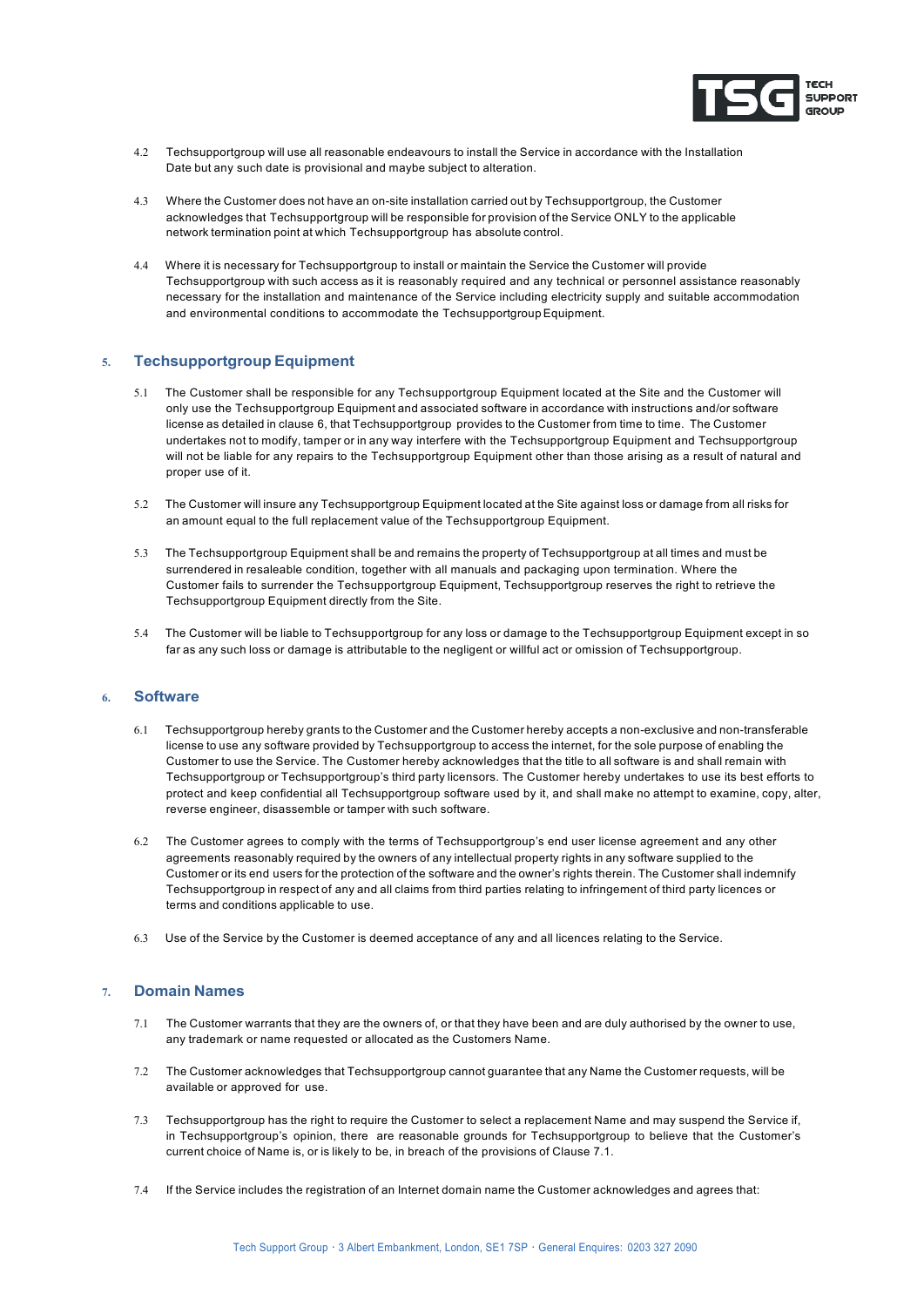

- 4.2 Techsupportgroup will use all reasonable endeavours to install the Service in accordance with the Installation Date but any such date is provisional and maybe subject to alteration.
- 4.3 Where the Customer does not have an on-site installation carried out by Techsupportgroup, the Customer acknowledges that Techsupportgroup will be responsible for provision of the Service ONLY to the applicable network termination point at which Techsupportgroup has absolute control.
- 4.4 Where it is necessary for Techsupportgroup to install or maintain the Service the Customer will provide Techsupportgroup with such access as it is reasonably required and any technical or personnel assistance reasonably necessary for the installation and maintenance of the Service including electricity supply and suitable accommodation and environmental conditions to accommodate the Techsupportgroup Equipment.

# **5. Techsupportgroup Equipment**

- 5.1 The Customer shall be responsible for any Techsupportgroup Equipment located at the Site and the Customer will only use the Techsupportgroup Equipment and associated software in accordance with instructions and/or software license as detailed in clause 6, that Techsupportgroup provides to the Customer from time to time. The Customer undertakes not to modify, tamper or in any way interfere with the Techsupportgroup Equipment and Techsupportgroup will not be liable for any repairs to the Techsupportgroup Equipment other than those arising as a result of natural and proper use of it.
- 5.2 The Customer will insure any Techsupportgroup Equipment located at the Site against loss or damage from all risks for an amount equal to the full replacement value of the Techsupportgroup Equipment.
- 5.3 The Techsupportgroup Equipment shall be and remains the property of Techsupportgroup at all times and must be surrendered in resaleable condition, together with all manuals and packaging upon termination. Where the Customer fails to surrender the Techsupportgroup Equipment, Techsupportgroup reserves the right to retrieve the Techsupportgroup Equipment directly from the Site.
- 5.4 The Customer will be liable to Techsupportgroup for any loss or damage to the Techsupportgroup Equipment except in so far as any such loss or damage is attributable to the negligent or willful act or omission of Techsupportgroup.

#### **6. Software**

- 6.1 Techsupportgroup hereby grants to the Customer and the Customer hereby accepts a non-exclusive and non-transferable license to use any software provided by Techsupportgroup to access the internet, for the sole purpose of enabling the Customer to use the Service. The Customer hereby acknowledges that the title to all software is and shall remain with Techsupportgroup or Techsupportgroup's third party licensors. The Customer hereby undertakes to use its best efforts to protect and keep confidential all Techsupportgroup software used by it, and shall make no attempt to examine, copy, alter, reverse engineer, disassemble or tamper with such software.
- 6.2 The Customer agrees to comply with the terms of Techsupportgroup's end user license agreement and any other agreements reasonably required by the owners of any intellectual property rights in any software supplied to the Customer or its end users for the protection of the software and the owner's rights therein. The Customer shall indemnify Techsupportgroup in respect of any and all claims from third parties relating to infringement of third party licences or terms and conditions applicable to use.
- 6.3 Use of the Service by the Customer is deemed acceptance of any and all licences relating to the Service.

# **7. Domain Names**

- 7.1 The Customer warrants that they are the owners of, or that they have been and are duly authorised by the owner to use, any trademark or name requested or allocated as the Customers Name.
- 7.2 The Customer acknowledges that Techsupportgroup cannot guarantee that any Name the Customer requests, will be available or approved for use.
- 7.3 Techsupportgroup has the right to require the Customer to select a replacement Name and may suspend the Service if, in Techsupportgroup's opinion, there are reasonable grounds for Techsupportgroup to believe that the Customer's current choice of Name is, or is likely to be, in breach of the provisions of Clause 7.1.
- 7.4 If the Service includes the registration of an Internet domain name the Customer acknowledges and agrees that: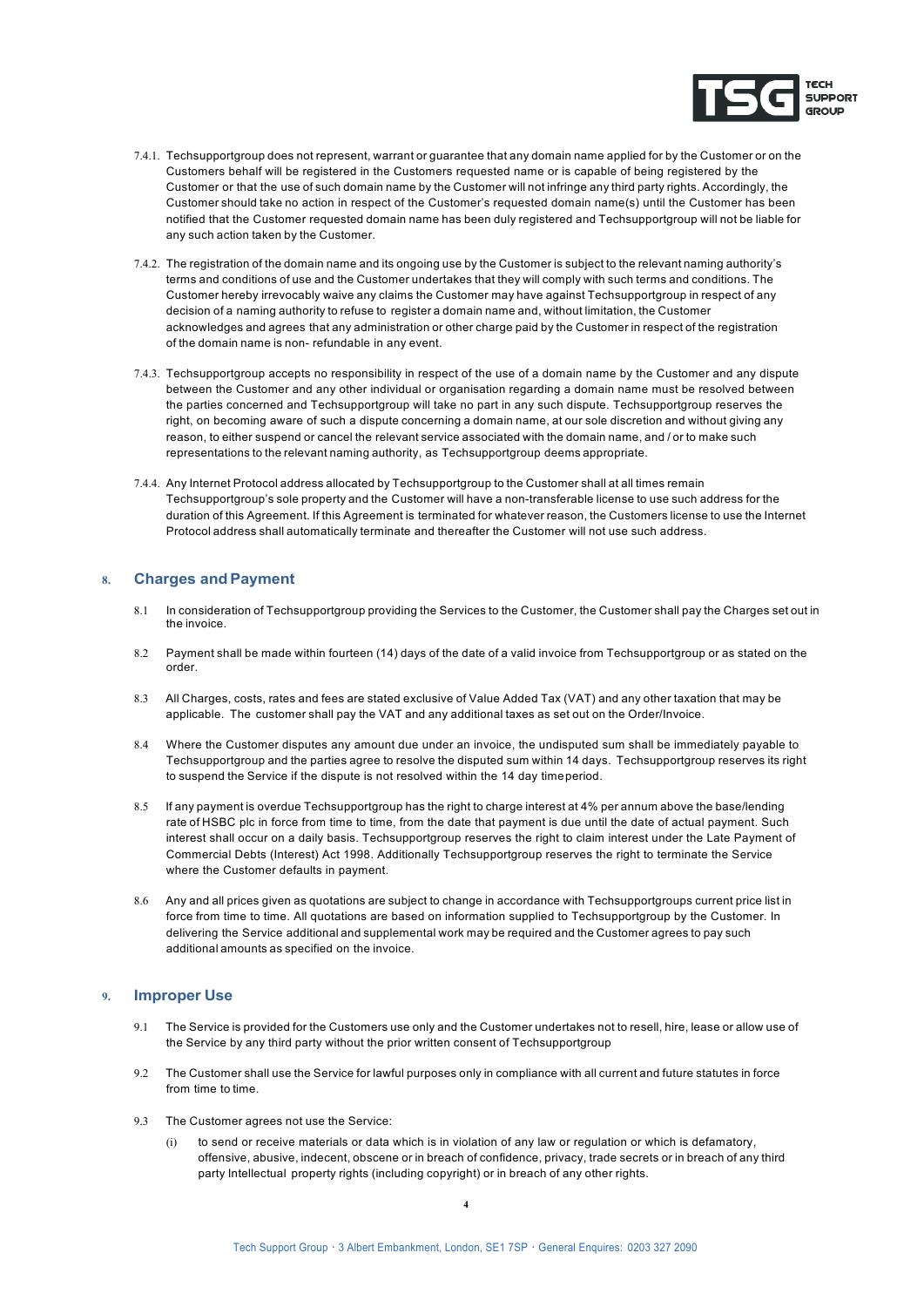

- 7.4.1. Techsupportgroup does not represent, warrant or guarantee that any domain name applied for by the Customer or on the Customers behalf will be registered in the Customers requested name or is capable of being registered by the Customer or that the use of such domain name by the Customer will not infringe any third party rights. Accordingly, the Customer should take no action in respect of the Customer's requested domain name(s) until the Customer has been notified that the Customer requested domain name has been duly registered and Techsupportgroup will not be liable for any such action taken by the Customer.
- 7.4.2. The registration of the domain name and its ongoing use by the Customer is subject to the relevant naming authority's terms and conditions of use and the Customer undertakes that they will comply with such terms and conditions. The Customer hereby irrevocably waive any claims the Customer may have against Techsupportgroup in respect of any decision of a naming authority to refuse to register a domain name and, without limitation, the Customer acknowledges and agrees that any administration or other charge paid by the Customer in respect of the registration of the domain name is non- refundable in any event.
- 7.4.3. Techsupportgroup accepts no responsibility in respect of the use of a domain name by the Customer and any dispute between the Customer and any other individual or organisation regarding a domain name must be resolved between the parties concerned and Techsupportgroup will take no part in any such dispute. Techsupportgroup reserves the right, on becoming aware of such a dispute concerning a domain name, at our sole discretion and without giving any reason, to either suspend or cancel the relevant service associated with the domain name, and / or to make such representations to the relevant naming authority, as Techsupportgroup deems appropriate.
- 7.4.4. Any Internet Protocol address allocated by Techsupportgroup to the Customer shall at all times remain Techsupportgroup's sole property and the Customer will have a non-transferable license to use such address for the duration of this Agreement. If this Agreement is terminated for whatever reason, the Customers license to use the Internet Protocol address shall automatically terminate and thereafter the Customer will not use such address.

# **8. Charges andPayment**

- 8.1 In consideration of Techsupportgroup providing the Services to the Customer, the Customer shall pay the Charges set out in the invoice.
- 8.2 Payment shall be made within fourteen (14) days of the date of a valid invoice from Techsupportgroup or as stated on the order.
- 8.3 All Charges, costs, rates and fees are stated exclusive of Value Added Tax (VAT) and any other taxation that may be applicable. The customer shall pay the VAT and any additional taxes as set out on the Order/Invoice.
- 8.4 Where the Customer disputes any amount due under an invoice, the undisputed sum shall be immediately payable to Techsupportgroup and the parties agree to resolve the disputed sum within 14 days. Techsupportgroup reserves its right to suspend the Service if the dispute is not resolved within the 14 day timeperiod.
- 8.5 If any payment is overdue Techsupportgroup has the right to charge interest at 4% per annum above the base/lending rate of HSBC plc in force from time to time, from the date that payment is due until the date of actual payment. Such interest shall occur on a daily basis. Techsupportgroup reserves the right to claim interest under the Late Payment of Commercial Debts (Interest) Act 1998. Additionally Techsupportgroup reserves the right to terminate the Service where the Customer defaults in payment.
- 8.6 Any and all prices given as quotations are subject to change in accordance with Techsupportgroups current price list in force from time to time. All quotations are based on information supplied to Techsupportgroup by the Customer. In delivering the Service additional and supplemental work may be required and the Customer agrees to pay such additional amounts as specified on the invoice.

#### **9. Improper Use**

- 9.1 The Service is provided for the Customers use only and the Customer undertakes not to resell, hire, lease or allow use of the Service by any third party without the prior written consent of Techsupportgroup
- 9.2 The Customer shall use the Service for lawful purposes only in compliance with all current and future statutes in force from time to time.
- 9.3 The Customer agrees not use the Service:
	- (i) to send or receive materials or data which is in violation of any law or regulation or which is defamatory, offensive, abusive, indecent, obscene or in breach of confidence, privacy, trade secrets or in breach of any third party Intellectual property rights (including copyright) or in breach of any other rights.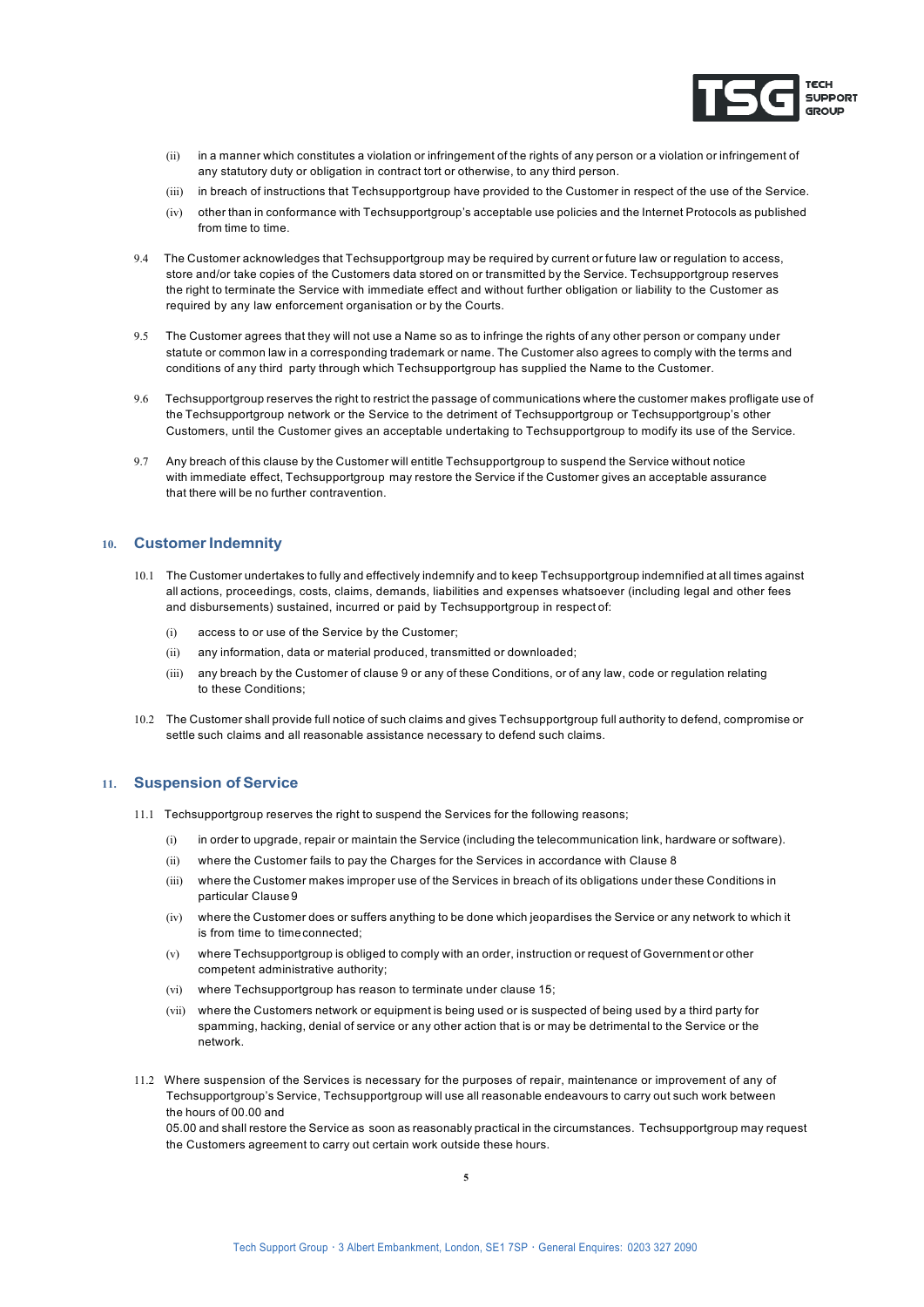

- (ii) in a manner which constitutes a violation or infringement of the rights of any person or a violation or infringement of any statutory duty or obligation in contract tort or otherwise, to any third person.
- (iii) in breach of instructions that Techsupportgroup have provided to the Customer in respect of the use of the Service.
- (iv) other than in conformance with Techsupportgroup's acceptable use policies and the Internet Protocols as published from time to time.
- 9.4 The Customer acknowledges that Techsupportgroup may be required by current or future law or regulation to access, store and/or take copies of the Customers data stored on or transmitted by the Service. Techsupportgroup reserves the right to terminate the Service with immediate effect and without further obligation or liability to the Customer as required by any law enforcement organisation or by the Courts.
- 9.5 The Customer agrees that they will not use a Name so as to infringe the rights of any other person or company under statute or common law in a corresponding trademark or name. The Customer also agrees to comply with the terms and conditions of any third party through which Techsupportgroup has supplied the Name to the Customer.
- 9.6 Techsupportgroup reserves the right to restrict the passage of communications where the customer makes profligate use of the Techsupportgroup network or the Service to the detriment of Techsupportgroup or Techsupportgroup's other Customers, until the Customer gives an acceptable undertaking to Techsupportgroup to modify its use of the Service.
- 9.7 Any breach of this clause by the Customer will entitle Techsupportgroup to suspend the Service without notice with immediate effect, Techsupportgroup may restore the Service if the Customer gives an acceptable assurance that there will be no further contravention.

# 10. **Customer Indemnity**

- 10.1 The Customer undertakes to fully and effectively indemnify and to keep Techsupportgroup indemnified at all times against all actions, proceedings, costs, claims, demands, liabilities and expenses whatsoever (including legal and other fees and disbursements) sustained, incurred or paid by Techsupportgroup in respect of:
	- (i) access to or use of the Service by the Customer;
	- (ii) any information, data or material produced, transmitted or downloaded;
	- (iii) any breach by the Customer of clause 9 or any of these Conditions, or of any law, code or regulation relating to these Conditions;
- 10.2 The Customer shall provide full notice of such claims and gives Techsupportgroup full authority to defend, compromise or settle such claims and all reasonable assistance necessary to defend such claims.

# **11.** Suspension of Service

- 11.1 Techsupportgroup reserves the right to suspend the Services for the following reasons;
	- (i) in order to upgrade, repair or maintain the Service (including the telecommunication link, hardware or software).
	- (ii) where the Customer fails to pay the Charges for the Services in accordance with Clause 8
	- (iii) where the Customer makes improper use of the Services in breach of its obligations under these Conditions in particular Clause 9
	- (iv) where the Customer does or suffers anything to be done which jeopardises the Service or any network to which it is from time to timeconnected;
	- (v) where Techsupportgroup is obliged to comply with an order, instruction or request of Government or other competent administrative authority;
	- (vi) where Techsupportgroup has reason to terminate under clause 15;
	- (vii) where the Customers network or equipment is being used or is suspected of being used by a third party for spamming, hacking, denial of service or any other action that is or may be detrimental to the Service or the network.
- 11.2 Where suspension of the Services is necessary for the purposes of repair, maintenance or improvement of any of Techsupportgroup's Service, Techsupportgroup will use all reasonable endeavours to carry out such work between the hours of 00.00 and

05.00 and shall restore the Service as soon as reasonably practical in the circumstances. Techsupportgroup may request the Customers agreement to carry out certain work outside these hours.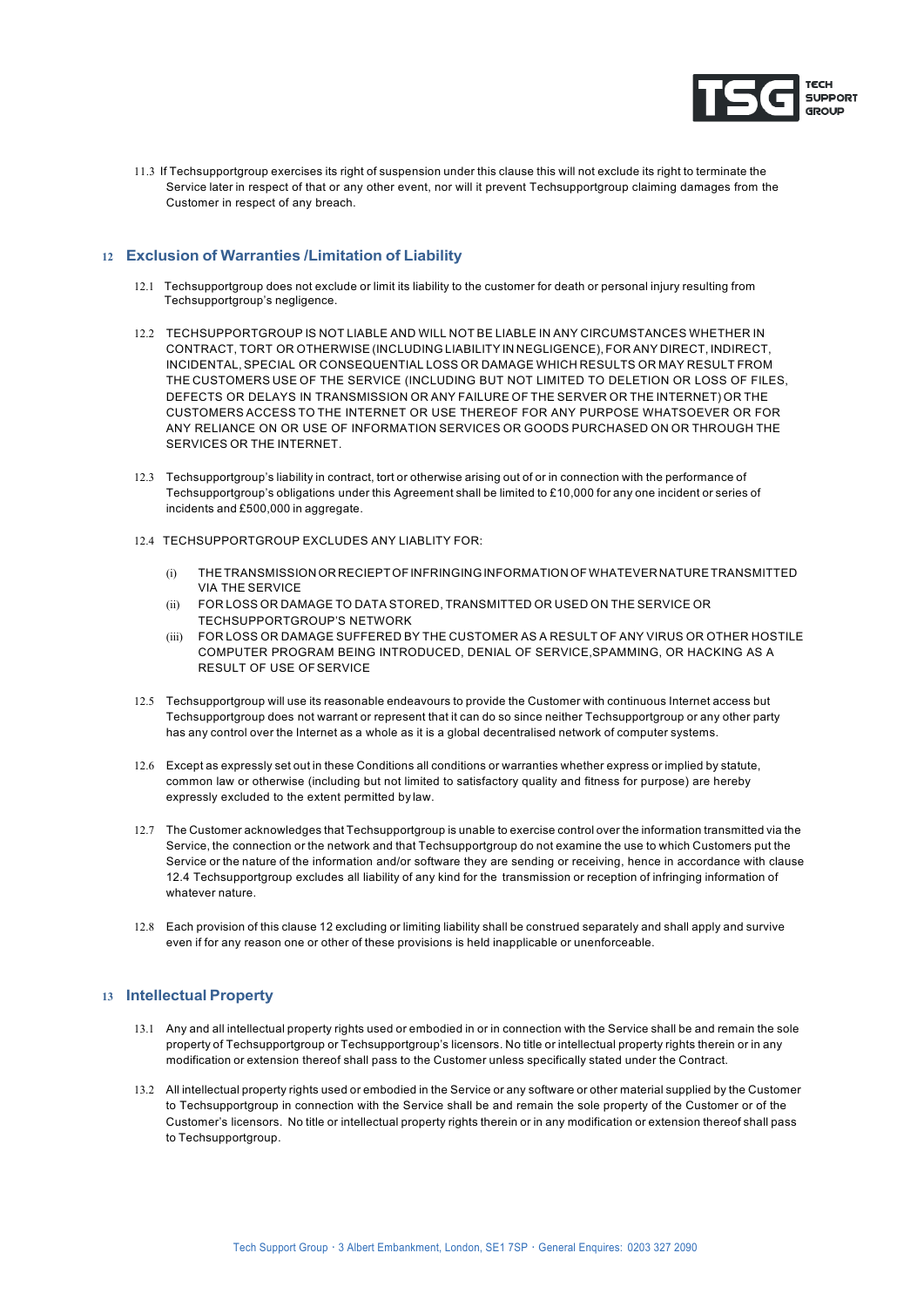

11.3 If Techsupportgroup exercises its right of suspension under this clause this will not exclude its right to terminate the Service later in respect of that or any other event, nor will it prevent Techsupportgroup claiming damages from the Customer in respect of any breach.

# **12 Exclusion of Warranties /Limitation of Liability**

- 12.1 Techsupportgroup does not exclude or limit its liability to the customer for death or personal injury resulting from Techsupportgroup's negligence.
- 12.2 TECHSUPPORTGROUP IS NOT LIABLE AND WILL NOT BE LIABLE IN ANY CIRCUMSTANCES WHETHER IN CONTRACT, TORT OR OTHERWISE (INCLUDING LIABILITY IN NEGLIGENCE), FOR ANY DIRECT, INDIRECT, INCIDENTAL,SPECIAL OR CONSEQUENTIAL LOSS OR DAMAGE WHICH RESULTS OR MAY RESULT FROM THE CUSTOMERS USE OF THE SERVICE (INCLUDING BUT NOT LIMITED TO DELETION OR LOSS OF FILES, DEFECTS OR DELAYS IN TRANSMISSION OR ANY FAILURE OF THE SERVER OR THE INTERNET) OR THE CUSTOMERS ACCESS TO THE INTERNET OR USE THEREOF FOR ANY PURPOSE WHATSOEVER OR FOR ANY RELIANCE ON OR USE OF INFORMATION SERVICES OR GOODS PURCHASED ON OR THROUGH THE SERVICES OR THE INTERNET.
- 12.3 Techsupportgroup's liability in contract, tort or otherwise arising out of or in connection with the performance of Techsupportgroup's obligations under this Agreement shall be limited to £10,000 for any one incident or series of incidents and £500,000 in aggregate.
- 12.4 TECHSUPPORTGROUP EXCLUDES ANY LIABLITY FOR:
	- (i) THETRANSMISSION OR RECIEPTOFINFRINGINGINFORMATIONOFWHATEVER NATURETRANSMITTED VIA THE SERVICE
	- (ii) FOR LOSS OR DAMAGE TO DATA STORED, TRANSMITTED OR USED ON THE SERVICE OR TECHSUPPORTGROUP'S NETWORK
	- (iii) FOR LOSS OR DAMAGE SUFFERED BY THE CUSTOMER AS A RESULT OF ANY VIRUS OR OTHER HOSTILE COMPUTER PROGRAM BEING INTRODUCED, DENIAL OF SERVICE,SPAMMING, OR HACKING AS A RESULT OF USE OFSERVICE
- 12.5 Techsupportgroup will use its reasonable endeavours to provide the Customer with continuous Internet access but Techsupportgroup does not warrant or represent that it can do so since neither Techsupportgroup or any other party has any control over the Internet as a whole as it is a global decentralised network of computer systems.
- 12.6 Except as expressly set out in these Conditions all conditions or warranties whether express or implied by statute, common law or otherwise (including but not limited to satisfactory quality and fitness for purpose) are hereby expressly excluded to the extent permitted by law.
- 12.7 The Customer acknowledges that Techsupportgroup is unable to exercise control over the information transmitted via the Service, the connection or the network and that Techsupportgroup do not examine the use to which Customers put the Service or the nature of the information and/or software they are sending or receiving, hence in accordance with clause 12.4 Techsupportgroup excludes all liability of any kind for the transmission or reception of infringing information of whatever nature.
- 12.8 Each provision of this clause 12 excluding or limiting liability shall be construed separately and shall apply and survive even if for any reason one or other of these provisions is held inapplicable or unenforceable.

## **13 Intellectual Property**

- 13.1 Any and all intellectual property rights used or embodied in or in connection with the Service shall be and remain the sole property of Techsupportgroup or Techsupportgroup's licensors. No title or intellectual property rights therein or in any modification or extension thereof shall pass to the Customer unless specifically stated under the Contract.
- 13.2 All intellectual property rights used or embodied in the Service or any software or other material supplied by the Customer to Techsupportgroup in connection with the Service shall be and remain the sole property of the Customer or of the Customer's licensors. No title or intellectual property rights therein or in any modification or extension thereof shall pass to Techsupportgroup.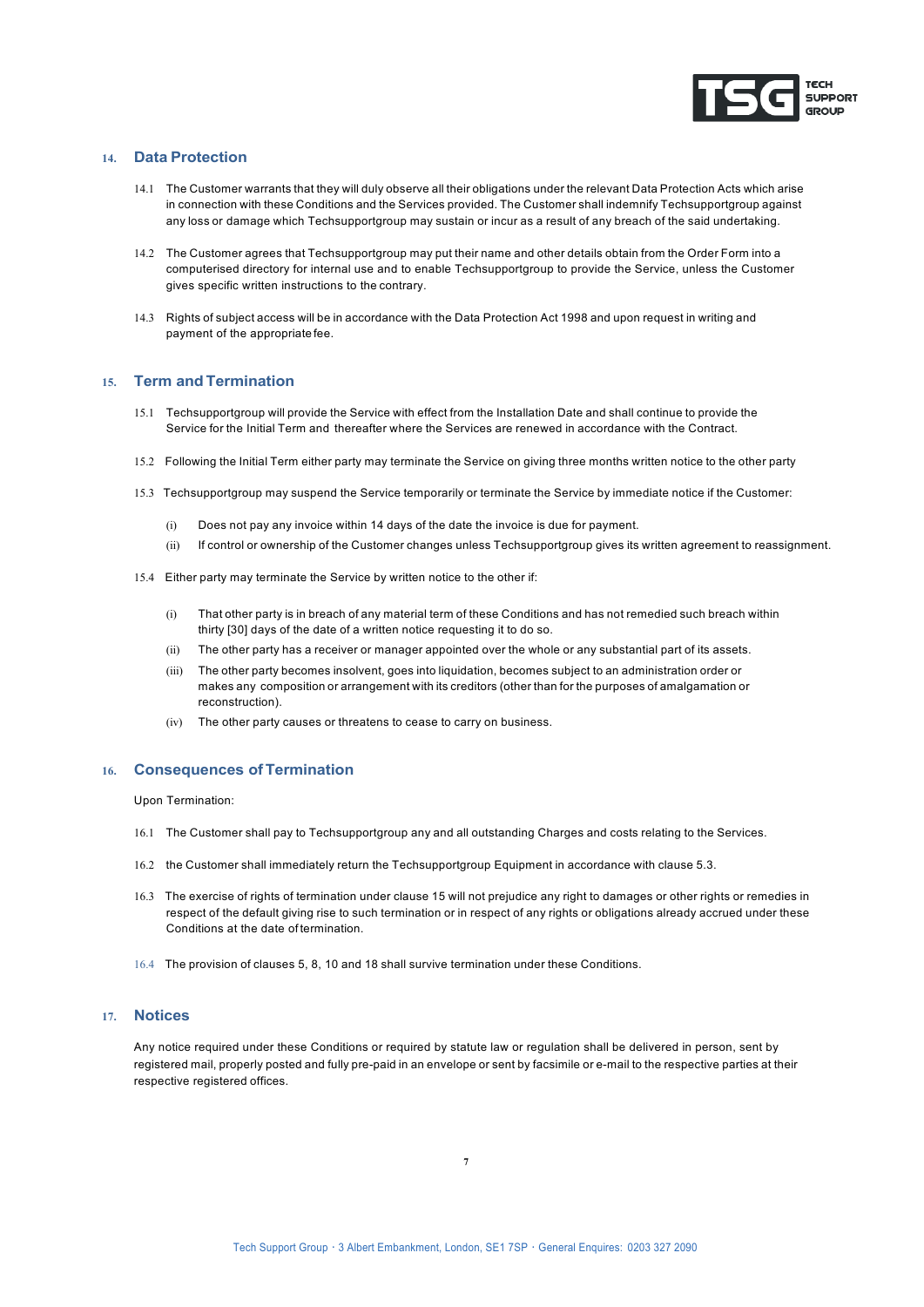

## **14. Data Protection**

- 14.1 The Customer warrants that they will duly observe all their obligations under the relevant Data Protection Acts which arise in connection with these Conditions and the Services provided. The Customer shall indemnify Techsupportgroup against any loss or damage which Techsupportgroup may sustain or incur as a result of any breach of the said undertaking.
- 14.2 The Customer agrees that Techsupportgroup may put their name and other details obtain from the Order Form into a computerised directory for internal use and to enable Techsupportgroup to provide the Service, unless the Customer gives specific written instructions to the contrary.
- 14.3 Rights of subject access will be in accordance with the Data Protection Act 1998 and upon request in writing and payment of the appropriate fee.

#### **15. Term and Termination**

- 15.1 Techsupportgroup will provide the Service with effect from the Installation Date and shall continue to provide the Service for the Initial Term and thereafter where the Services are renewed in accordance with the Contract.
- 15.2 Following the Initial Term either party may terminate the Service on giving three months written notice to the other party
- 15.3 Techsupportgroup may suspend the Service temporarily or terminate the Service by immediate notice if the Customer:
	- (i) Does not pay any invoice within 14 days of the date the invoice is due for payment.
	- (ii) If control or ownership of the Customer changes unless Techsupportgroup gives its written agreement to reassignment.
- 15.4 Either party may terminate the Service by written notice to the other if:
	- (i) That other party is in breach of any material term of these Conditions and has not remedied such breach within thirty [30] days of the date of a written notice requesting it to do so.
	- (ii) The other party has a receiver or manager appointed over the whole or any substantial part of its assets.
	- (iii) The other party becomes insolvent, goes into liquidation, becomes subject to an administration order or makes any composition or arrangement with its creditors (other than for the purposes of amalgamation or reconstruction).
	- (iv) The other party causes or threatens to cease to carry on business.

#### **16. Consequences ofTermination**

Upon Termination:

- 16.1 The Customer shall pay to Techsupportgroup any and all outstanding Charges and costs relating to the Services.
- 16.2 the Customer shall immediately return the Techsupportgroup Equipment in accordance with clause 5.3.
- 16.3 The exercise of rights of termination under clause 15 will not prejudice any right to damages or other rights or remedies in respect of the default giving rise to such termination or in respect of any rights or obligations already accrued under these Conditions at the date of termination.
- 16.4 The provision of clauses 5, 8, 10 and 18 shall survive termination under these Conditions.

## **17. Notices**

Any notice required under these Conditions or required by statute law or regulation shall be delivered in person, sent by registered mail, properly posted and fully pre-paid in an envelope or sent by facsimile or e-mail to the respective parties at their respective registered offices.